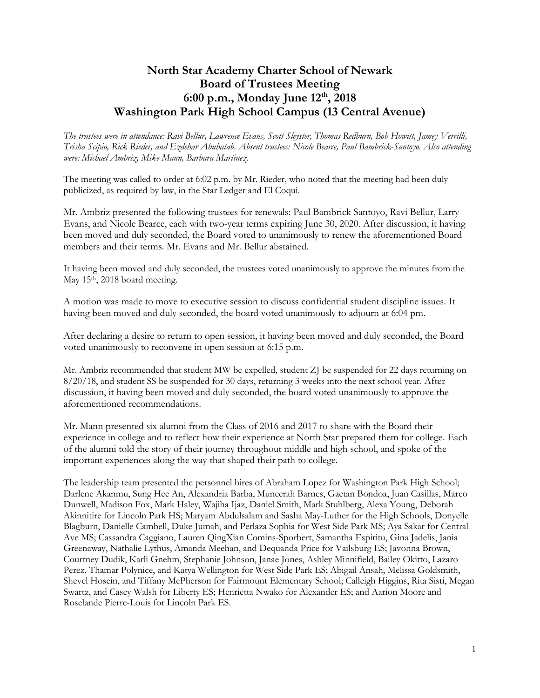## **North Star Academy Charter School of Newark Board of Trustees Meeting 6:00 p.m., Monday June 12 th, 2018 Washington Park High School Campus (13 Central Avenue)**

*The trustees were in attendance: Ravi Bellur, Lawrence Evans, Scott Sleyster, Thomas Redburn, Bob Howitt, Jamey Verrilli, Trisha Scipio, Rick Rieder, and Ezdehar Abuhatab. Absent trustees: Nicole Bearce, Paul Bambrick-Santoyo. Also attending were: Michael Ambriz, Mike Mann, Barbara Martinez.*

The meeting was called to order at 6:02 p.m. by Mr. Rieder, who noted that the meeting had been duly publicized, as required by law, in the Star Ledger and El Coqui.

Mr. Ambriz presented the following trustees for renewals: Paul Bambrick Santoyo, Ravi Bellur, Larry Evans, and Nicole Bearce, each with two-year terms expiring June 30, 2020. After discussion, it having been moved and duly seconded, the Board voted to unanimously to renew the aforementioned Board members and their terms. Mr. Evans and Mr. Bellur abstained.

It having been moved and duly seconded, the trustees voted unanimously to approve the minutes from the May 15<sup>th</sup>, 2018 board meeting.

A motion was made to move to executive session to discuss confidential student discipline issues. It having been moved and duly seconded, the board voted unanimously to adjourn at 6:04 pm.

After declaring a desire to return to open session, it having been moved and duly seconded, the Board voted unanimously to reconvene in open session at 6:15 p.m.

Mr. Ambriz recommended that student MW be expelled, student ZJ be suspended for 22 days returning on 8/20/18, and student SS be suspended for 30 days, returning 3 weeks into the next school year. After discussion, it having been moved and duly seconded, the board voted unanimously to approve the aforementioned recommendations.

Mr. Mann presented six alumni from the Class of 2016 and 2017 to share with the Board their experience in college and to reflect how their experience at North Star prepared them for college. Each of the alumni told the story of their journey throughout middle and high school, and spoke of the important experiences along the way that shaped their path to college.

The leadership team presented the personnel hires of Abraham Lopez for Washington Park High School; Darlene Akanmu, Sung Hee An, Alexandria Barba, Muneerah Barnes, Gaetan Bondoa, Juan Casillas, Marco Dunwell, Madison Fox, Mark Haley, Wajiha Ijaz, Daniel Smith, Mark Stuhlberg, Alexa Young, Deborah Akinnitire for Lincoln Park HS; Maryam Abdulsalam and Sasha May-Luther for the High Schools, Donyelle Blagburn, Danielle Cambell, Duke Jumah, and Perlaza Sophia for West Side Park MS; Aya Sakar for Central Ave MS; Cassandra Caggiano, Lauren QingXian Comins-Sporbert, Samantha Espiritu, Gina Jadelis, Jania Greenaway, Nathalie Lythus, Amanda Meehan, and Dequanda Price for Vailsburg ES; Javonna Brown, Courtney Dudik, Karli Gnehm, Stephanie Johnson, Janae Jones, Ashley Minnifield, Bailey Okitto, Lazaro Perez, Thamar Polynice, and Katya Wellington for West Side Park ES; Abigail Ansah, Melissa Goldsmith, Shevel Hosein, and Tiffany McPherson for Fairmount Elementary School; Calleigh Higgins, Rita Sisti, Megan Swartz, and Casey Walsh for Liberty ES; Henrietta Nwako for Alexander ES; and Aarion Moore and Roselande Pierre-Louis for Lincoln Park ES.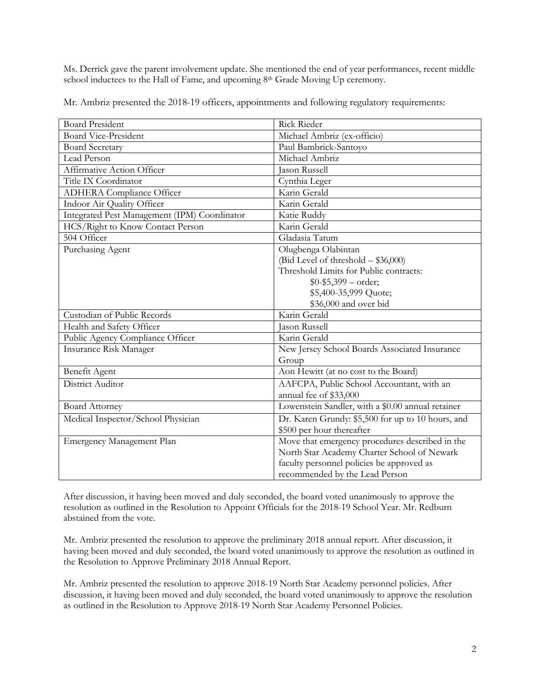Ms. Derrick gave the parent involvement update. She mentioned the end of year performances, recent middle school inductees to the Hall of Fame, and upcoming 8<sup>th</sup> Grade Moving Up ceremony.

Mr. Ambriz presented the 2018-19 officers, appointments and following regulatory requirements:

| <b>Board President</b>                       | <b>Rick Rieder</b>                                |
|----------------------------------------------|---------------------------------------------------|
| <b>Board Vice-President</b>                  | Michael Ambriz (ex-officio)                       |
| <b>Board Secretary</b>                       | Paul Bambrick-Santoyo                             |
| Lead Person                                  | Michael Ambriz                                    |
| Affirmative Action Officer                   | <b>Jason Russell</b>                              |
| Title IX Coordinator                         | Cynthia Leger                                     |
| <b>ADHERA</b> Compliance Officer             | Karin Gerald                                      |
| Indoor Air Quality Officer                   | Karin Gerald                                      |
| Integrated Pest Management (IPM) Coordinator | Katie Ruddy                                       |
| HCS/Right to Know Contact Person             | Karin Gerald                                      |
| 504 Officer                                  | Gladasia Tatum                                    |
| Purchasing Agent                             | Olugbenga Olabintan                               |
|                                              | (Bid Level of threshold - \$36,000)               |
|                                              | Threshold Limits for Public contracts:            |
|                                              | $$0-$5,399-order;$                                |
|                                              | \$5,400-35,999 Quote;                             |
|                                              | \$36,000 and over bid                             |
| Custodian of Public Records                  | Karin Gerald                                      |
| Health and Safety Officer                    | <b>Jason Russell</b>                              |
| Public Agency Compliance Officer             | Karin Gerald                                      |
| <b>Insurance Risk Manager</b>                | New Jersey School Boards Associated Insurance     |
|                                              | Group                                             |
| Benefit Agent                                | Aon Hewitt (at no cost to the Board)              |
| District Auditor                             | AAFCPA, Public School Accountant, with an         |
|                                              | annual fee of \$33,000                            |
| <b>Board Attorney</b>                        | Lowenstein Sandler, with a \$0.00 annual retainer |
| Medical Inspector/School Physician           | Dr. Karen Grundy: \$5,500 for up to 10 hours, and |
|                                              | \$500 per hour thereafter                         |
| Emergency Management Plan                    | Move that emergency procedures described in the   |
|                                              | North Star Academy Charter School of Newark       |
|                                              | faculty personnel policies be approved as         |
|                                              | recommended by the Lead Person                    |

After discussion, it having been moved and duly seconded, the board voted unanimously to approve the resolution as outlined in the Resolution to Appoint Officials for the 2018-19 School Year. Mr. Redburn abstained from the vote.

Mr. Ambriz presented the resolution to approve the preliminary 2018 annual report. After discussion, it having been moved and duly seconded, the board voted unanimously to approve the resolution as outlined in the Resolution to Approve Preliminary 2018 Annual Report.

Mr. Ambriz presented the resolution to approve 2018-19 North Star Academy personnel policies. After discussion, it having been moved and duly seconded, the board voted unanimously to approve the resolution as outlined in the Resolution to Approve 2018-19 North Star Academy Personnel Policies.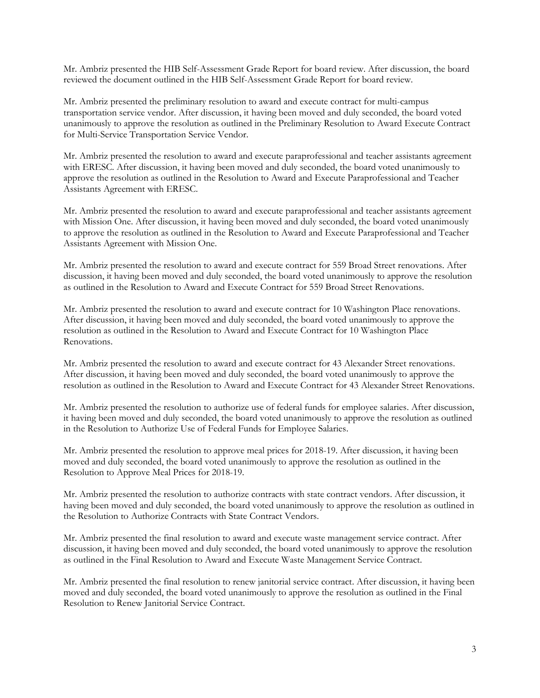Mr. Ambriz presented the HIB Self-Assessment Grade Report for board review. After discussion, the board reviewed the document outlined in the HIB Self-Assessment Grade Report for board review.

Mr. Ambriz presented the preliminary resolution to award and execute contract for multi-campus transportation service vendor. After discussion, it having been moved and duly seconded, the board voted unanimously to approve the resolution as outlined in the Preliminary Resolution to Award Execute Contract for Multi-Service Transportation Service Vendor.

Mr. Ambriz presented the resolution to award and execute paraprofessional and teacher assistants agreement with ERESC. After discussion, it having been moved and duly seconded, the board voted unanimously to approve the resolution as outlined in the Resolution to Award and Execute Paraprofessional and Teacher Assistants Agreement with ERESC.

Mr. Ambriz presented the resolution to award and execute paraprofessional and teacher assistants agreement with Mission One. After discussion, it having been moved and duly seconded, the board voted unanimously to approve the resolution as outlined in the Resolution to Award and Execute Paraprofessional and Teacher Assistants Agreement with Mission One.

Mr. Ambriz presented the resolution to award and execute contract for 559 Broad Street renovations. After discussion, it having been moved and duly seconded, the board voted unanimously to approve the resolution as outlined in the Resolution to Award and Execute Contract for 559 Broad Street Renovations.

Mr. Ambriz presented the resolution to award and execute contract for 10 Washington Place renovations. After discussion, it having been moved and duly seconded, the board voted unanimously to approve the resolution as outlined in the Resolution to Award and Execute Contract for 10 Washington Place Renovations.

Mr. Ambriz presented the resolution to award and execute contract for 43 Alexander Street renovations. After discussion, it having been moved and duly seconded, the board voted unanimously to approve the resolution as outlined in the Resolution to Award and Execute Contract for 43 Alexander Street Renovations.

Mr. Ambriz presented the resolution to authorize use of federal funds for employee salaries. After discussion, it having been moved and duly seconded, the board voted unanimously to approve the resolution as outlined in the Resolution to Authorize Use of Federal Funds for Employee Salaries.

Mr. Ambriz presented the resolution to approve meal prices for 2018-19. After discussion, it having been moved and duly seconded, the board voted unanimously to approve the resolution as outlined in the Resolution to Approve Meal Prices for 2018-19.

Mr. Ambriz presented the resolution to authorize contracts with state contract vendors. After discussion, it having been moved and duly seconded, the board voted unanimously to approve the resolution as outlined in the Resolution to Authorize Contracts with State Contract Vendors.

Mr. Ambriz presented the final resolution to award and execute waste management service contract. After discussion, it having been moved and duly seconded, the board voted unanimously to approve the resolution as outlined in the Final Resolution to Award and Execute Waste Management Service Contract.

Mr. Ambriz presented the final resolution to renew janitorial service contract. After discussion, it having been moved and duly seconded, the board voted unanimously to approve the resolution as outlined in the Final Resolution to Renew Janitorial Service Contract.